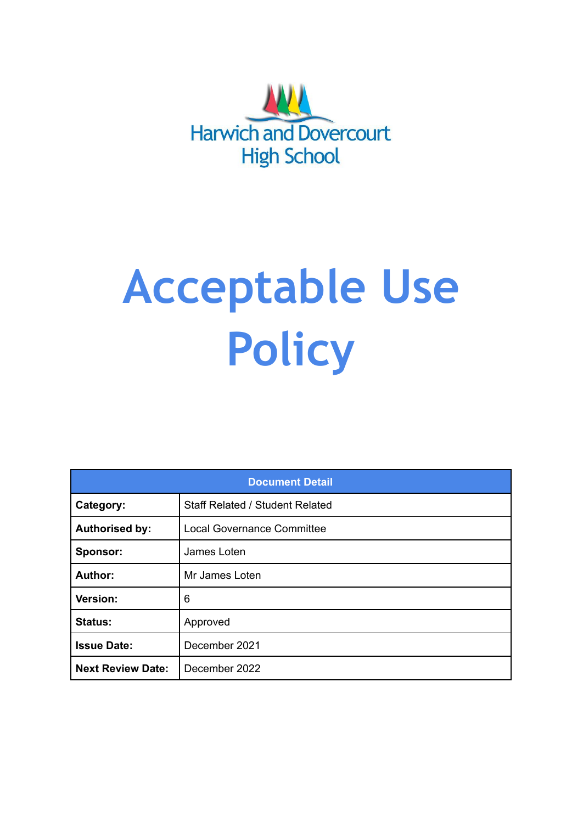

# **Acceptable Use Policy**

| <b>Document Detail</b>   |                                        |  |  |  |
|--------------------------|----------------------------------------|--|--|--|
| Category:                | <b>Staff Related / Student Related</b> |  |  |  |
| <b>Authorised by:</b>    | <b>Local Governance Committee</b>      |  |  |  |
| Sponsor:                 | James Loten                            |  |  |  |
| Author:                  | Mr James Loten                         |  |  |  |
| Version:                 | 6                                      |  |  |  |
| <b>Status:</b>           | Approved                               |  |  |  |
| <b>Issue Date:</b>       | December 2021                          |  |  |  |
| <b>Next Review Date:</b> | December 2022                          |  |  |  |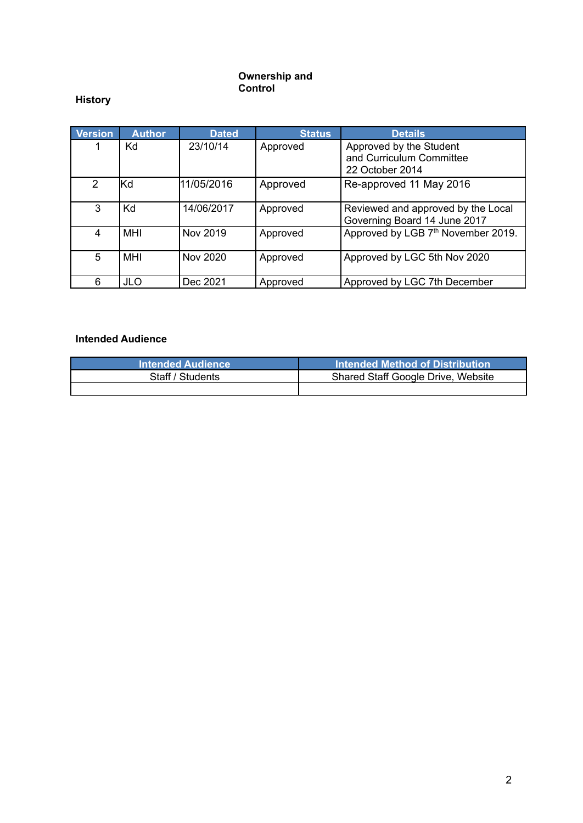#### **Ownership and Control**

# **History**

| Version        | <b>Author</b> | <b>Dated</b> | <b>Status</b> | <b>Details</b>                                                         |
|----------------|---------------|--------------|---------------|------------------------------------------------------------------------|
|                | Kd            | 23/10/14     | Approved      | Approved by the Student<br>and Curriculum Committee<br>22 October 2014 |
| $\overline{2}$ | lƘd           | 11/05/2016   | Approved      | Re-approved 11 May 2016                                                |
| 3              | Kd            | 14/06/2017   | Approved      | Reviewed and approved by the Local<br>Governing Board 14 June 2017     |
| 4              | <b>MHI</b>    | Nov 2019     | Approved      | Approved by LGB 7th November 2019.                                     |
| 5              | MHI           | Nov 2020     | Approved      | Approved by LGC 5th Nov 2020                                           |
| 6              | <b>JLO</b>    | Dec 2021     | Approved      | Approved by LGC 7th December                                           |

# **Intended Audience**

| <b>Intended Audience</b> | Intended Method of Distribution    |
|--------------------------|------------------------------------|
| Staff / Students         | Shared Staff Google Drive, Website |
|                          |                                    |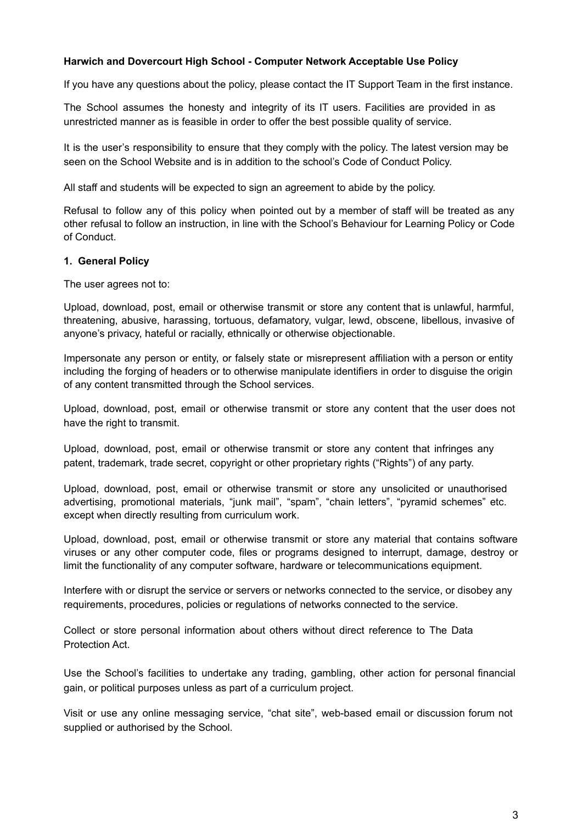#### **Harwich and Dovercourt High School - Computer Network Acceptable Use Policy**

If you have any questions about the policy, please contact the IT Support Team in the first instance.

The School assumes the honesty and integrity of its IT users. Facilities are provided in as unrestricted manner as is feasible in order to offer the best possible quality of service.

It is the user's responsibility to ensure that they comply with the policy. The latest version may be seen on the School Website and is in addition to the school's Code of Conduct Policy.

All staff and students will be expected to sign an agreement to abide by the policy.

Refusal to follow any of this policy when pointed out by a member of staff will be treated as any other refusal to follow an instruction, in line with the School's Behaviour for Learning Policy or Code of Conduct.

#### **1. General Policy**

The user agrees not to:

Upload, download, post, email or otherwise transmit or store any content that is unlawful, harmful, threatening, abusive, harassing, tortuous, defamatory, vulgar, lewd, obscene, libellous, invasive of anyone's privacy, hateful or racially, ethnically or otherwise objectionable.

Impersonate any person or entity, or falsely state or misrepresent affiliation with a person or entity including the forging of headers or to otherwise manipulate identifiers in order to disguise the origin of any content transmitted through the School services.

Upload, download, post, email or otherwise transmit or store any content that the user does not have the right to transmit.

Upload, download, post, email or otherwise transmit or store any content that infringes any patent, trademark, trade secret, copyright or other proprietary rights ("Rights") of any party.

Upload, download, post, email or otherwise transmit or store any unsolicited or unauthorised advertising, promotional materials, "junk mail", "spam", "chain letters", "pyramid schemes" etc. except when directly resulting from curriculum work.

Upload, download, post, email or otherwise transmit or store any material that contains software viruses or any other computer code, files or programs designed to interrupt, damage, destroy or limit the functionality of any computer software, hardware or telecommunications equipment.

Interfere with or disrupt the service or servers or networks connected to the service, or disobey any requirements, procedures, policies or regulations of networks connected to the service.

Collect or store personal information about others without direct reference to The Data Protection Act.

Use the School's facilities to undertake any trading, gambling, other action for personal financial gain, or political purposes unless as part of a curriculum project.

Visit or use any online messaging service, "chat site", web-based email or discussion forum not supplied or authorised by the School.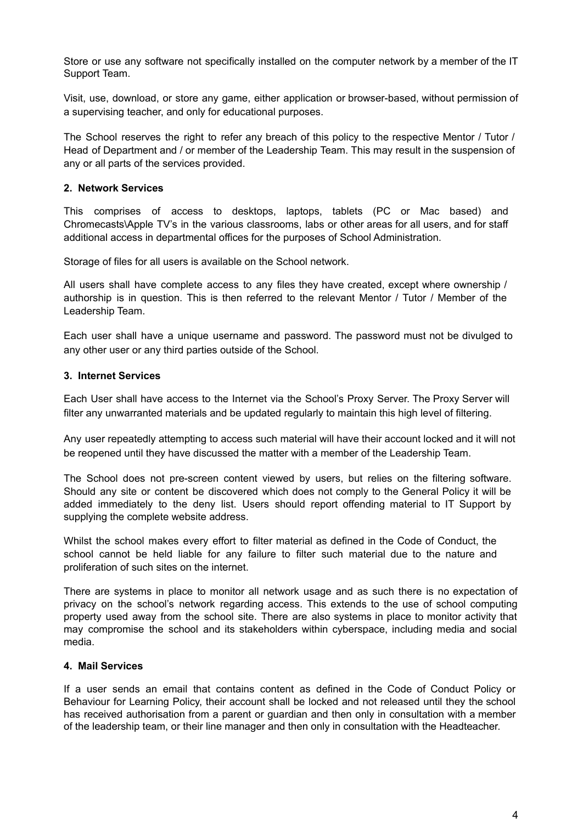Store or use any software not specifically installed on the computer network by a member of the IT Support Team.

Visit, use, download, or store any game, either application or browser-based, without permission of a supervising teacher, and only for educational purposes.

The School reserves the right to refer any breach of this policy to the respective Mentor / Tutor / Head of Department and / or member of the Leadership Team. This may result in the suspension of any or all parts of the services provided.

### **2. Network Services**

This comprises of access to desktops, laptops, tablets (PC or Mac based) and Chromecasts\Apple TV's in the various classrooms, labs or other areas for all users, and for staff additional access in departmental offices for the purposes of School Administration.

Storage of files for all users is available on the School network.

All users shall have complete access to any files they have created, except where ownership / authorship is in question. This is then referred to the relevant Mentor / Tutor / Member of the Leadership Team.

Each user shall have a unique username and password. The password must not be divulged to any other user or any third parties outside of the School.

#### **3. Internet Services**

Each User shall have access to the Internet via the School's Proxy Server. The Proxy Server will filter any unwarranted materials and be updated regularly to maintain this high level of filtering.

Any user repeatedly attempting to access such material will have their account locked and it will not be reopened until they have discussed the matter with a member of the Leadership Team.

The School does not pre-screen content viewed by users, but relies on the filtering software. Should any site or content be discovered which does not comply to the General Policy it will be added immediately to the deny list. Users should report offending material to IT Support by supplying the complete website address.

Whilst the school makes every effort to filter material as defined in the Code of Conduct, the school cannot be held liable for any failure to filter such material due to the nature and proliferation of such sites on the internet.

There are systems in place to monitor all network usage and as such there is no expectation of privacy on the school's network regarding access. This extends to the use of school computing property used away from the school site. There are also systems in place to monitor activity that may compromise the school and its stakeholders within cyberspace, including media and social media.

#### **4. Mail Services**

If a user sends an email that contains content as defined in the Code of Conduct Policy or Behaviour for Learning Policy, their account shall be locked and not released until they the school has received authorisation from a parent or guardian and then only in consultation with a member of the leadership team, or their line manager and then only in consultation with the Headteacher.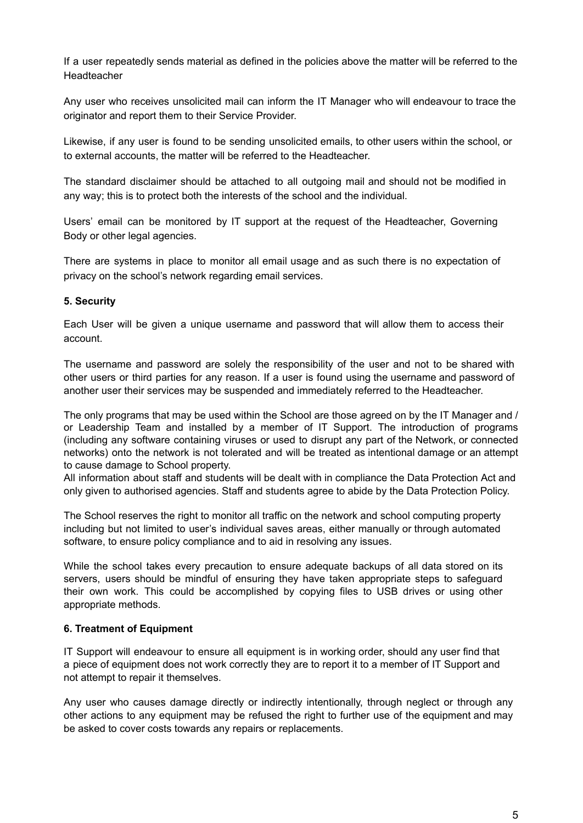If a user repeatedly sends material as defined in the policies above the matter will be referred to the Headteacher

Any user who receives unsolicited mail can inform the IT Manager who will endeavour to trace the originator and report them to their Service Provider.

Likewise, if any user is found to be sending unsolicited emails, to other users within the school, or to external accounts, the matter will be referred to the Headteacher.

The standard disclaimer should be attached to all outgoing mail and should not be modified in any way; this is to protect both the interests of the school and the individual.

Users' email can be monitored by IT support at the request of the Headteacher, Governing Body or other legal agencies.

There are systems in place to monitor all email usage and as such there is no expectation of privacy on the school's network regarding email services.

# **5. Security**

Each User will be given a unique username and password that will allow them to access their account.

The username and password are solely the responsibility of the user and not to be shared with other users or third parties for any reason. If a user is found using the username and password of another user their services may be suspended and immediately referred to the Headteacher.

The only programs that may be used within the School are those agreed on by the IT Manager and / or Leadership Team and installed by a member of IT Support. The introduction of programs (including any software containing viruses or used to disrupt any part of the Network, or connected networks) onto the network is not tolerated and will be treated as intentional damage or an attempt to cause damage to School property.

All information about staff and students will be dealt with in compliance the Data Protection Act and only given to authorised agencies. Staff and students agree to abide by the Data Protection Policy.

The School reserves the right to monitor all traffic on the network and school computing property including but not limited to user's individual saves areas, either manually or through automated software, to ensure policy compliance and to aid in resolving any issues.

While the school takes every precaution to ensure adequate backups of all data stored on its servers, users should be mindful of ensuring they have taken appropriate steps to safeguard their own work. This could be accomplished by copying files to USB drives or using other appropriate methods.

# **6. Treatment of Equipment**

IT Support will endeavour to ensure all equipment is in working order, should any user find that a piece of equipment does not work correctly they are to report it to a member of IT Support and not attempt to repair it themselves.

Any user who causes damage directly or indirectly intentionally, through neglect or through any other actions to any equipment may be refused the right to further use of the equipment and may be asked to cover costs towards any repairs or replacements.